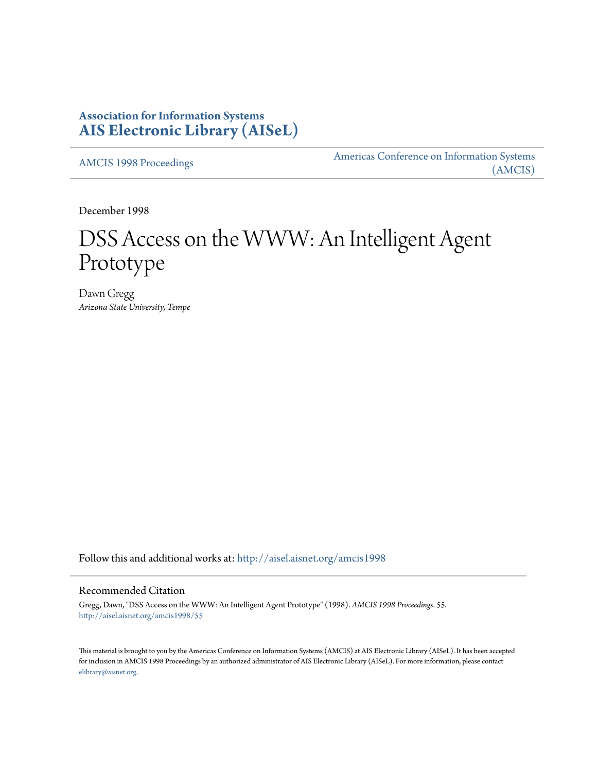# **Association for Information Systems [AIS Electronic Library \(AISeL\)](http://aisel.aisnet.org?utm_source=aisel.aisnet.org%2Famcis1998%2F55&utm_medium=PDF&utm_campaign=PDFCoverPages)**

[AMCIS 1998 Proceedings](http://aisel.aisnet.org/amcis1998?utm_source=aisel.aisnet.org%2Famcis1998%2F55&utm_medium=PDF&utm_campaign=PDFCoverPages)

[Americas Conference on Information Systems](http://aisel.aisnet.org/amcis?utm_source=aisel.aisnet.org%2Famcis1998%2F55&utm_medium=PDF&utm_campaign=PDFCoverPages) [\(AMCIS\)](http://aisel.aisnet.org/amcis?utm_source=aisel.aisnet.org%2Famcis1998%2F55&utm_medium=PDF&utm_campaign=PDFCoverPages)

December 1998

# DSS Access on the WWW: An Intelligent Agent Prototype

Dawn Gregg *Arizona State University, Tempe*

Follow this and additional works at: [http://aisel.aisnet.org/amcis1998](http://aisel.aisnet.org/amcis1998?utm_source=aisel.aisnet.org%2Famcis1998%2F55&utm_medium=PDF&utm_campaign=PDFCoverPages)

## Recommended Citation

Gregg, Dawn, "DSS Access on the WWW: An Intelligent Agent Prototype" (1998). *AMCIS 1998 Proceedings*. 55. [http://aisel.aisnet.org/amcis1998/55](http://aisel.aisnet.org/amcis1998/55?utm_source=aisel.aisnet.org%2Famcis1998%2F55&utm_medium=PDF&utm_campaign=PDFCoverPages)

This material is brought to you by the Americas Conference on Information Systems (AMCIS) at AIS Electronic Library (AISeL). It has been accepted for inclusion in AMCIS 1998 Proceedings by an authorized administrator of AIS Electronic Library (AISeL). For more information, please contact [elibrary@aisnet.org.](mailto:elibrary@aisnet.org%3E)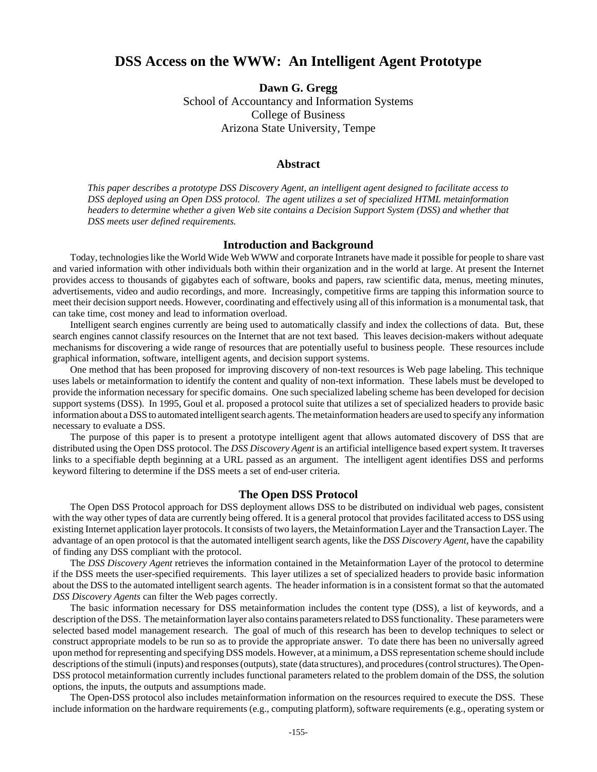## **DSS Access on the WWW: An Intelligent Agent Prototype**

**Dawn G. Gregg** School of Accountancy and Information Systems College of Business Arizona State University, Tempe

#### **Abstract**

*This paper describes a prototype DSS Discovery Agent, an intelligent agent designed to facilitate access to DSS deployed using an Open DSS protocol. The agent utilizes a set of specialized HTML metainformation headers to determine whether a given Web site contains a Decision Support System (DSS) and whether that DSS meets user defined requirements.*

#### **Introduction and Background**

Today, technologies like the World Wide Web WWW and corporate Intranets have made it possible for people to share vast and varied information with other individuals both within their organization and in the world at large. At present the Internet provides access to thousands of gigabytes each of software, books and papers, raw scientific data, menus, meeting minutes, advertisements, video and audio recordings, and more. Increasingly, competitive firms are tapping this information source to meet their decision support needs. However, coordinating and effectively using all of this information is a monumental task, that can take time, cost money and lead to information overload.

Intelligent search engines currently are being used to automatically classify and index the collections of data. But, these search engines cannot classify resources on the Internet that are not text based. This leaves decision-makers without adequate mechanisms for discovering a wide range of resources that are potentially useful to business people. These resources include graphical information, software, intelligent agents, and decision support systems.

One method that has been proposed for improving discovery of non-text resources is Web page labeling. This technique uses labels or metainformation to identify the content and quality of non-text information. These labels must be developed to provide the information necessary for specific domains. One such specialized labeling scheme has been developed for decision support systems (DSS). In 1995, Goul et al. proposed a protocol suite that utilizes a set of specialized headers to provide basic information about a DSS to automated intelligent search agents. The metainformation headers are used to specify any information necessary to evaluate a DSS.

The purpose of this paper is to present a prototype intelligent agent that allows automated discovery of DSS that are distributed using the Open DSS protocol. The *DSS Discovery Agent* is an artificial intelligence based expert system. It traverses links to a specifiable depth beginning at a URL passed as an argument. The intelligent agent identifies DSS and performs keyword filtering to determine if the DSS meets a set of end-user criteria.

#### **The Open DSS Protocol**

The Open DSS Protocol approach for DSS deployment allows DSS to be distributed on individual web pages, consistent with the way other types of data are currently being offered. It is a general protocol that provides facilitated access to DSS using existing Internet application layer protocols. It consists of two layers, the Metainformation Layer and the Transaction Layer. The advantage of an open protocol is that the automated intelligent search agents, like the *DSS Discovery Agent*, have the capability of finding any DSS compliant with the protocol.

The *DSS Discovery Agent* retrieves the information contained in the Metainformation Layer of the protocol to determine if the DSS meets the user-specified requirements. This layer utilizes a set of specialized headers to provide basic information about the DSS to the automated intelligent search agents. The header information is in a consistent format so that the automated *DSS Discovery Agents* can filter the Web pages correctly.

The basic information necessary for DSS metainformation includes the content type (DSS), a list of keywords, and a description of the DSS. The metainformation layer also contains parameters related to DSS functionality. These parameters were selected based model management research. The goal of much of this research has been to develop techniques to select or construct appropriate models to be run so as to provide the appropriate answer. To date there has been no universally agreed upon method for representing and specifying DSS models. However, at a minimum, a DSS representation scheme should include descriptions of the stimuli (inputs) and responses (outputs), state (data structures), and procedures (control structures). The Open-DSS protocol metainformation currently includes functional parameters related to the problem domain of the DSS, the solution options, the inputs, the outputs and assumptions made.

The Open-DSS protocol also includes metainformation information on the resources required to execute the DSS. These include information on the hardware requirements (e.g., computing platform), software requirements (e.g., operating system or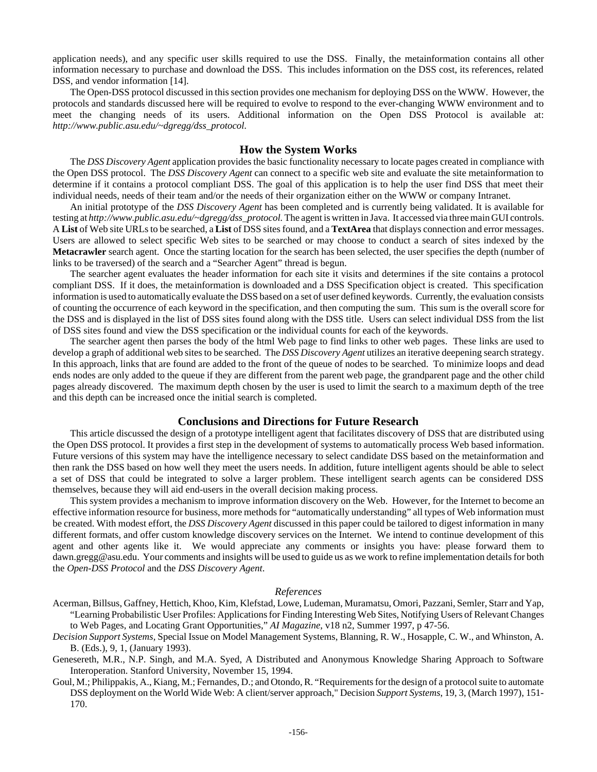application needs), and any specific user skills required to use the DSS. Finally, the metainformation contains all other information necessary to purchase and download the DSS. This includes information on the DSS cost, its references, related DSS, and vendor information [14].

The Open-DSS protocol discussed in this section provides one mechanism for deploying DSS on the WWW. However, the protocols and standards discussed here will be required to evolve to respond to the ever-changing WWW environment and to meet the changing needs of its users. Additional information on the Open DSS Protocol is available at: *http://www.public.asu.edu/~dgregg/dss\_protocol.*

### **How the System Works**

The *DSS Discovery Agent* application provides the basic functionality necessary to locate pages created in compliance with the Open DSS protocol. The *DSS Discovery Agent* can connect to a specific web site and evaluate the site metainformation to determine if it contains a protocol compliant DSS. The goal of this application is to help the user find DSS that meet their individual needs, needs of their team and/or the needs of their organization either on the WWW or company Intranet.

An initial prototype of the *DSS Discovery Agent* has been completed and is currently being validated. It is available for testing at *http://www.public.asu.edu/~dgregg/dss\_protocol.* The agent is written in Java. It accessed via three main GUI controls. A **List** of Web site URLs to be searched, a **List** of DSS sites found, and a **TextArea** that displays connection and error messages. Users are allowed to select specific Web sites to be searched or may choose to conduct a search of sites indexed by the **Metacrawler** search agent. Once the starting location for the search has been selected, the user specifies the depth (number of links to be traversed) of the search and a "Searcher Agent" thread is begun.

The searcher agent evaluates the header information for each site it visits and determines if the site contains a protocol compliant DSS. If it does, the metainformation is downloaded and a DSS Specification object is created. This specification information is used to automatically evaluate the DSS based on a set of user defined keywords. Currently, the evaluation consists of counting the occurrence of each keyword in the specification, and then computing the sum. This sum is the overall score for the DSS and is displayed in the list of DSS sites found along with the DSS title. Users can select individual DSS from the list of DSS sites found and view the DSS specification or the individual counts for each of the keywords.

The searcher agent then parses the body of the html Web page to find links to other web pages. These links are used to develop a graph of additional web sites to be searched. The *DSS Discovery Agent* utilizes an iterative deepening search strategy. In this approach, links that are found are added to the front of the queue of nodes to be searched. To minimize loops and dead ends nodes are only added to the queue if they are different from the parent web page, the grandparent page and the other child pages already discovered. The maximum depth chosen by the user is used to limit the search to a maximum depth of the tree and this depth can be increased once the initial search is completed.

#### **Conclusions and Directions for Future Research**

This article discussed the design of a prototype intelligent agent that facilitates discovery of DSS that are distributed using the Open DSS protocol. It provides a first step in the development of systems to automatically process Web based information. Future versions of this system may have the intelligence necessary to select candidate DSS based on the metainformation and then rank the DSS based on how well they meet the users needs. In addition, future intelligent agents should be able to select a set of DSS that could be integrated to solve a larger problem. These intelligent search agents can be considered DSS themselves, because they will aid end-users in the overall decision making process.

This system provides a mechanism to improve information discovery on the Web. However, for the Internet to become an effective information resource for business, more methods for "automatically understanding" all types of Web information must be created. With modest effort, the *DSS Discovery Agent* discussed in this paper could be tailored to digest information in many different formats, and offer custom knowledge discovery services on the Internet. We intend to continue development of this agent and other agents like it. We would appreciate any comments or insights you have: please forward them to dawn.gregg@asu.edu. Your comments and insights will be used to guide us as we work to refine implementation details for both the *Open-DSS Protocol* and the *DSS Discovery Agent*.

#### *References*

- Acerman, Billsus, Gaffney, Hettich, Khoo, Kim, Klefstad, Lowe, Ludeman, Muramatsu, Omori, Pazzani, Semler, Starr and Yap, "Learning Probabilistic User Profiles: Applications for Finding Interesting Web Sites, Notifying Users of Relevant Changes to Web Pages, and Locating Grant Opportunities," *AI Magazine*, v18 n2, Summer 1997, p 47-56.
- *Decision Support Systems,* Special Issue on Model Management Systems, Blanning, R. W., Hosapple, C. W., and Whinston, A. B. (Eds.), 9, 1, (January 1993).
- Genesereth, M.R., N.P. Singh, and M.A. Syed, A Distributed and Anonymous Knowledge Sharing Approach to Software Interoperation. Stanford University, November 15, 1994.
- Goul, M.; Philippakis, A., Kiang, M.; Fernandes, D.; and Otondo, R. "Requirements for the design of a protocol suite to automate DSS deployment on the World Wide Web: A client/server approach," Decision *Support Systems*, 19, 3, (March 1997), 151- 170.